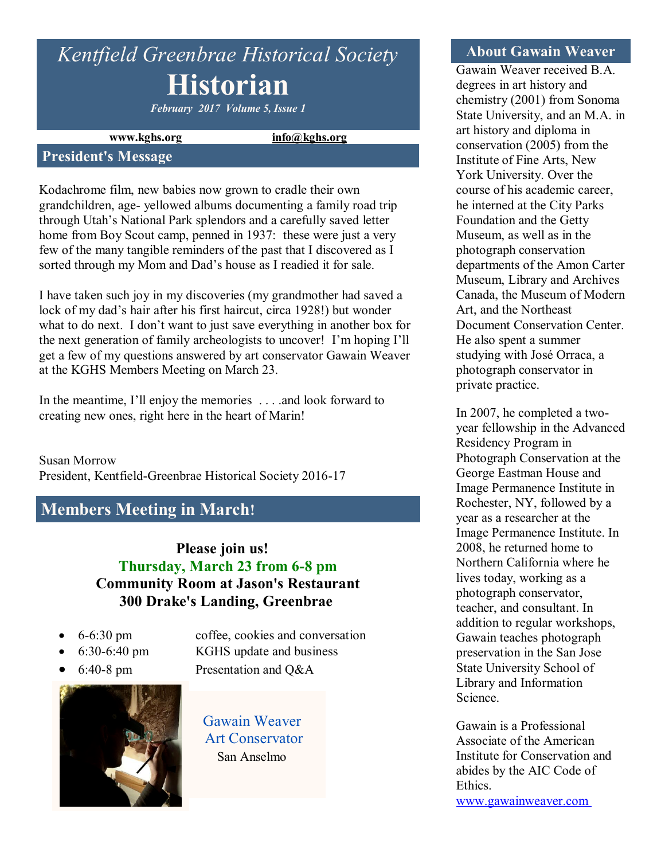# *Kentfield Greenbrae Historical Society* **Historian**

*February 2017 Volume 5, Issue 1*

**www.kghs.org [info@kghs.org](mailto:info@kghs.org)**

#### **President's Message**

Kodachrome film, new babies now grown to cradle their own grandchildren, age- yellowed albums documenting a family road trip through Utah's National Park splendors and a carefully saved letter home from Boy Scout camp, penned in 1937: these were just a very few of the many tangible reminders of the past that I discovered as I sorted through my Mom and Dad's house as I readied it for sale.

I have taken such joy in my discoveries (my grandmother had saved a lock of my dad's hair after his first haircut, circa 1928!) but wonder what to do next. I don't want to just save everything in another box for the next generation of family archeologists to uncover! I'm hoping I'll get a few of my questions answered by art conservator Gawain Weaver at the KGHS Members Meeting on March 23.

In the meantime, I'll enjoy the memories . . . . and look forward to creating new ones, right here in the heart of Marin!

Susan Morrow President, Kentfield-Greenbrae Historical Society 2016-17

# **Members Meeting in March!**

**Please join us! Thursday, March 23 from 6-8 pm Community Room at Jason's Restaurant 300 Drake's Landing, Greenbrae**

- 
- 
- 



 6-6:30 pm coffee, cookies and conversation 6:30-6:40 pm KGHS update and business 6:40-8 pm Presentation and Q&A

> Gawain Weaver Art Conservator San Anselmo

#### **About Gawain Weaver**

Gawain Weaver received B.A. degrees in art history and chemistry (2001) from Sonoma State University, and an M.A. in art history and diploma in conservation (2005) from the Institute of Fine Arts, New York University. Over the course of his academic career, he interned at the City Parks Foundation and the Getty Museum, as well as in the photograph conservation departments of the Amon Carter Museum, Library and Archives Canada, the Museum of Modern Art, and the Northeast Document Conservation Center. He also spent a summer studying with José Orraca, a photograph conservator in private practice.

In 2007, he completed a twoyear fellowship in the Advanced Residency Program in Photograph Conservation at the George Eastman House and Image Permanence Institute in Rochester, NY, followed by a year as a researcher at the Image Permanence Institute. In 2008, he returned home to Northern California where he lives today, working as a photograph conservator, teacher, and consultant. In addition to regular workshops, Gawain teaches photograph preservation in the San Jose State University School of Library and Information Science.

Gawain is a Professional Associate of the American Institute for Conservation and abides by the AIC Code of Ethics. [www.gawainweaver.com](http://gawainweaver.com/)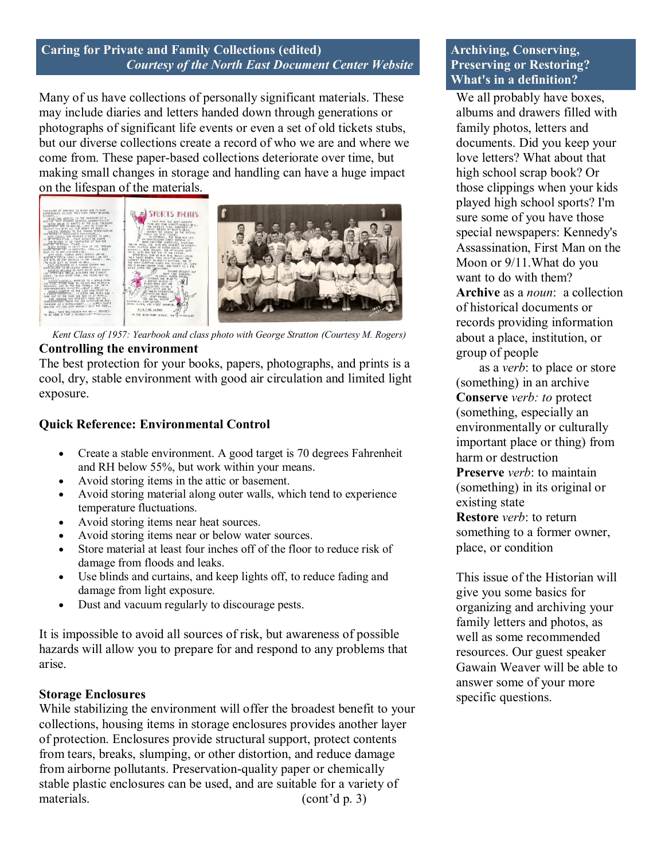#### **Caring for Private and Family Collections (edited)**  *Courtesy of the North East Document Center Website*

Many of us have collections of personally significant materials. These may include diaries and letters handed down through generations or photographs of significant life events or even a set of old tickets stubs, but our diverse collections create a record of who we are and where we come from. These paper-based collections deteriorate over time, but making small changes in storage and handling can have a huge impact on the lifespan of the materials.



 *Kent Class of 1957: Yearbook and class photo with George Stratton (Courtesy M. Rogers)* **Controlling the environment**

The best protection for your books, papers, photographs, and prints is a cool, dry, stable environment with good air circulation and limited light exposure.

### **Quick Reference: Environmental Control**

- Create a stable environment. A good target is 70 degrees Fahrenheit and RH below 55%, but work within your means.
- Avoid storing items in the attic or basement.
- Avoid storing material along outer walls, which tend to experience temperature fluctuations.
- Avoid storing items near heat sources.
- Avoid storing items near or below water sources.
- Store material at least four inches off of the floor to reduce risk of damage from floods and leaks.
- Use blinds and curtains, and keep lights off, to reduce fading and damage from light exposure.
- Dust and vacuum regularly to discourage pests.

It is impossible to avoid all sources of risk, but awareness of possible hazards will allow you to prepare for and respond to any problems that arise.

#### **Storage Enclosures**

While stabilizing the environment will offer the broadest benefit to your collections, housing items in storage enclosures provides another layer of protection. Enclosures provide structural support, protect contents from tears, breaks, slumping, or other distortion, and reduce damage from airborne pollutants. Preservation-quality paper or chemically stable plastic enclosures can be used, and are suitable for a variety of materials. (cont'd p. 3)

#### **Archiving, Conserving, Preserving or Restoring? What's in a definition?**

We all probably have boxes, albums and drawers filled with family photos, letters and documents. Did you keep your love letters? What about that high school scrap book? Or those clippings when your kids played high school sports? I'm sure some of you have those special newspapers: Kennedy's Assassination, First Man on the Moon or 9/11.What do you want to do with them? **Archive** as a *noun*: a collection of historical documents or records providing information about a place, institution, or group of people

 as a *verb*: to place or store (something) in an archive **Conserve** *verb: to* protect (something, especially an environmentally or culturally important place or thing) from harm or destruction **Preserve** *verb*: to maintain (something) in its original or existing state **Restore** *verb*: to return something to a former owner, place, or condition

This issue of the Historian will give you some basics for organizing and archiving your family letters and photos, as well as some recommended resources. Our guest speaker Gawain Weaver will be able to answer some of your more specific questions.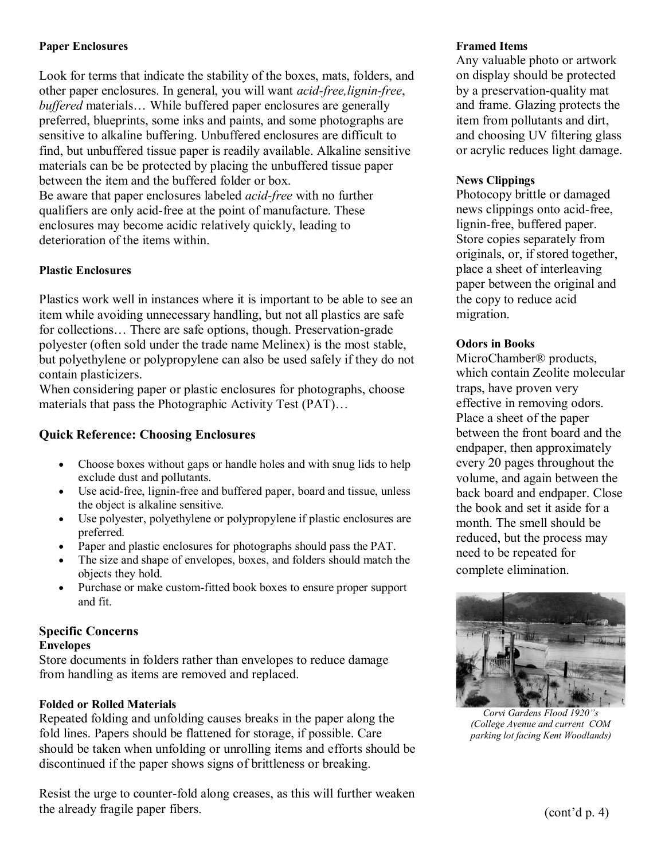#### **Paper Enclosures**

Look for terms that indicate the stability of the boxes, mats, folders, and other paper enclosures. In general, you will want *acid-free,lignin-free*, *buffered* materials... While buffered paper enclosures are generally preferred, blueprints, some inks and paints, and some photographs are sensitive to alkaline buffering. Unbuffered enclosures are difficult to find, but unbuffered tissue paper is readily available. Alkaline sensitive materials can be be protected by placing the unbuffered tissue paper between the item and the buffered folder or box. Be aware that paper enclosures labeled *acid-free* with no further qualifiers are only acid-free at the point of manufacture. These enclosures may become acidic relatively quickly, leading to deterioration of the items within.

#### **Plastic Enclosures**

Plastics work well in instances where it is important to be able to see an item while avoiding unnecessary handling, but not all plastics are safe for collections… There are safe options, though. Preservation-grade polyester (often sold under the trade name Melinex) is the most stable, but polyethylene or polypropylene can also be used safely if they do not contain plasticizers.

When considering paper or plastic enclosures for photographs, choose materials that pass the Photographic Activity Test (PAT)…

#### **Quick Reference: Choosing Enclosures**

- Choose boxes without gaps or handle holes and with snug lids to help exclude dust and pollutants.
- Use acid-free, lignin-free and buffered paper, board and tissue, unless the object is alkaline sensitive.
- Use polyester, polyethylene or polypropylene if plastic enclosures are preferred.
- Paper and plastic enclosures for photographs should pass the PAT.
- The size and shape of envelopes, boxes, and folders should match the objects they hold.
- Purchase or make custom-fitted book boxes to ensure proper support and fit.

#### **Specific Concerns**

#### **Envelopes**

Store documents in folders rather than envelopes to reduce damage from handling as items are removed and replaced.

#### **Folded or Rolled Materials**

Repeated folding and unfolding causes breaks in the paper along the fold lines. Papers should be flattened for storage, if possible. Care should be taken when unfolding or unrolling items and efforts should be discontinued if the paper shows signs of brittleness or breaking.

Resist the urge to counter-fold along creases, as this will further weaken the already fragile paper fibers.

#### **Framed Items**

Any valuable photo or artwork on display should be protected by a preservation-quality mat and frame. Glazing protects the item from pollutants and dirt, and choosing UV filtering glass or acrylic reduces light damage.

#### **News Clippings**

Photocopy brittle or damaged news clippings onto acid-free, lignin-free, buffered paper. Store copies separately from originals, or, if stored together, place a sheet of interleaving paper between the original and the copy to reduce acid migration.

#### **Odors in Books**

MicroChamber® products, which contain Zeolite molecular traps, have proven very effective in removing odors. Place a sheet of the paper between the front board and the endpaper, then approximately every 20 pages throughout the volume, and again between the back board and endpaper. Close the book and set it aside for a month. The smell should be reduced, but the process may need to be repeated for complete elimination.



*Corvi Gardens Flood 1920"s (College Avenue and current COM parking lot facing Kent Woodlands)*